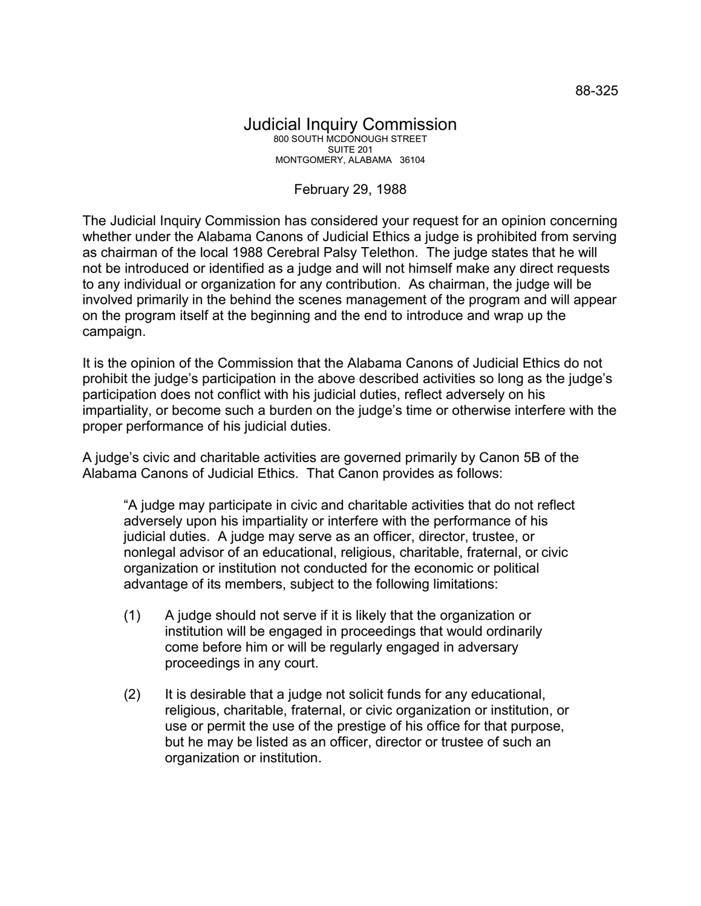## Judicial Inquiry Commission 800 SOUTH MCDONOUGH STREET SUITE 201 MONTGOMERY, ALABAMA 36104

## February 29, 1988

The Judicial Inquiry Commission has considered your request for an opinion concerning whether under the Alabama Canons of Judicial Ethics a judge is prohibited from serving as chairman of the local 1988 Cerebral Palsy Telethon. The judge states that he will not be introduced or identified as a judge and will not himself make any direct requests to any individual or organization for any contribution. As chairman, the judge will be involved primarily in the behind the scenes management of the program and will appear on the program itself at the beginning and the end to introduce and wrap up the campaign.

It is the opinion of the Commission that the Alabama Canons of Judicial Ethics do not prohibit the judge's participation in the above described activities so long as the judge's participation does not conflict with his judicial duties, reflect adversely on his impartiality, or become such a burden on the judge's time or otherwise interfere with the proper performance of his judicial duties.

A judge's civic and charitable activities are governed primarily by Canon 5B of the Alabama Canons of Judicial Ethics. That Canon provides as follows:

"A judge may participate in civic and charitable activities that do not reflect adversely upon his impartiality or interfere with the performance of his judicial duties. A judge may serve as an officer, director, trustee, or nonlegal advisor of an educational, religious, charitable, fraternal, or civic organization or institution not conducted for the economic or political advantage of its members, subject to the following limitations:

- (1) A judge should not serve if it is likely that the organization or institution will be engaged in proceedings that would ordinarily come before him or will be regularly engaged in adversary proceedings in any court.
- (2) It is desirable that a judge not solicit funds for any educational, religious, charitable, fraternal, or civic organization or institution, or use or permit the use of the prestige of his office for that purpose, but he may be listed as an officer, director or trustee of such an organization or institution.